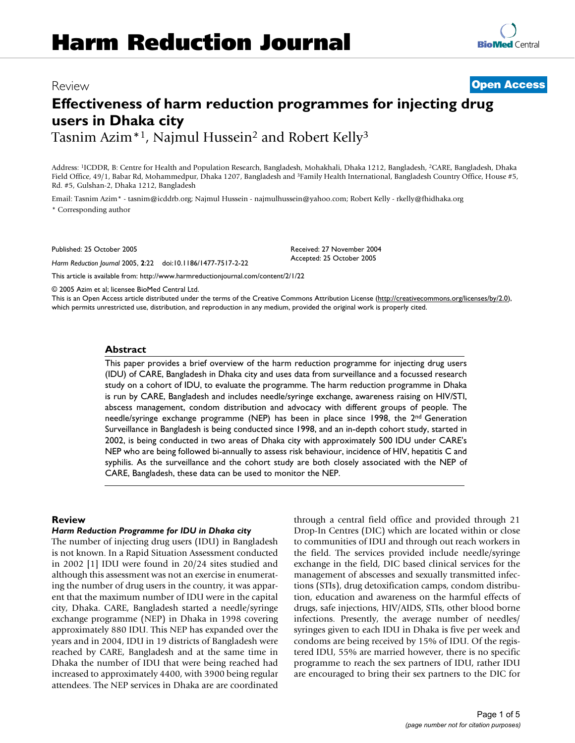# **Effectiveness of harm reduction programmes for injecting drug users in Dhaka city**

Tasnim Azim<sup>\*1</sup>, Najmul Hussein<sup>2</sup> and Robert Kelly<sup>3</sup>

Address: 1ICDDR, B: Centre for Health and Population Research, Bangladesh, Mohakhali, Dhaka 1212, Bangladesh, 2CARE, Bangladesh, Dhaka Field Office, 49/1, Babar Rd, Mohammedpur, Dhaka 1207, Bangladesh and 3Family Health International, Bangladesh Country Office, House #5, Rd. #5, Gulshan-2, Dhaka 1212, Bangladesh

> Received: 27 November 2004 Accepted: 25 October 2005

Email: Tasnim Azim\* - tasnim@icddrb.org; Najmul Hussein - najmulhussein@yahoo.com; Robert Kelly - rkelly@fhidhaka.org \* Corresponding author

Published: 25 October 2005

*Harm Reduction Journal* 2005, **2**:22 doi:10.1186/1477-7517-2-22

[This article is available from: http://www.harmreductionjournal.com/content/2/1/22](http://www.harmreductionjournal.com/content/2/1/22)

© 2005 Azim et al; licensee BioMed Central Ltd.

This is an Open Access article distributed under the terms of the Creative Commons Attribution License [\(http://creativecommons.org/licenses/by/2.0\)](http://creativecommons.org/licenses/by/2.0), which permits unrestricted use, distribution, and reproduction in any medium, provided the original work is properly cited.

#### **Abstract**

This paper provides a brief overview of the harm reduction programme for injecting drug users (IDU) of CARE, Bangladesh in Dhaka city and uses data from surveillance and a focussed research study on a cohort of IDU, to evaluate the programme. The harm reduction programme in Dhaka is run by CARE, Bangladesh and includes needle/syringe exchange, awareness raising on HIV/STI, abscess management, condom distribution and advocacy with different groups of people. The needle/syringe exchange programme (NEP) has been in place since 1998, the 2<sup>nd</sup> Generation Surveillance in Bangladesh is being conducted since 1998, and an in-depth cohort study, started in 2002, is being conducted in two areas of Dhaka city with approximately 500 IDU under CARE's NEP who are being followed bi-annually to assess risk behaviour, incidence of HIV, hepatitis C and syphilis. As the surveillance and the cohort study are both closely associated with the NEP of CARE, Bangladesh, these data can be used to monitor the NEP.

#### **Review**

#### *Harm Reduction Programme for IDU in Dhaka city*

The number of injecting drug users (IDU) in Bangladesh is not known. In a Rapid Situation Assessment conducted in 2002 [1] IDU were found in 20/24 sites studied and although this assessment was not an exercise in enumerating the number of drug users in the country, it was apparent that the maximum number of IDU were in the capital city, Dhaka. CARE, Bangladesh started a needle/syringe exchange programme (NEP) in Dhaka in 1998 covering approximately 880 IDU. This NEP has expanded over the years and in 2004, IDU in 19 districts of Bangladesh were reached by CARE, Bangladesh and at the same time in Dhaka the number of IDU that were being reached had increased to approximately 4400, with 3900 being regular attendees. The NEP services in Dhaka are are coordinated through a central field office and provided through 21 Drop-In Centres (DIC) which are located within or close to communities of IDU and through out reach workers in the field. The services provided include needle/syringe exchange in the field, DIC based clinical services for the management of abscesses and sexually transmitted infections (STIs), drug detoxification camps, condom distribution, education and awareness on the harmful effects of drugs, safe injections, HIV/AIDS, STIs, other blood borne infections. Presently, the average number of needles/ syringes given to each IDU in Dhaka is five per week and condoms are being received by 15% of IDU. Of the registered IDU, 55% are married however, there is no specific programme to reach the sex partners of IDU, rather IDU are encouraged to bring their sex partners to the DIC for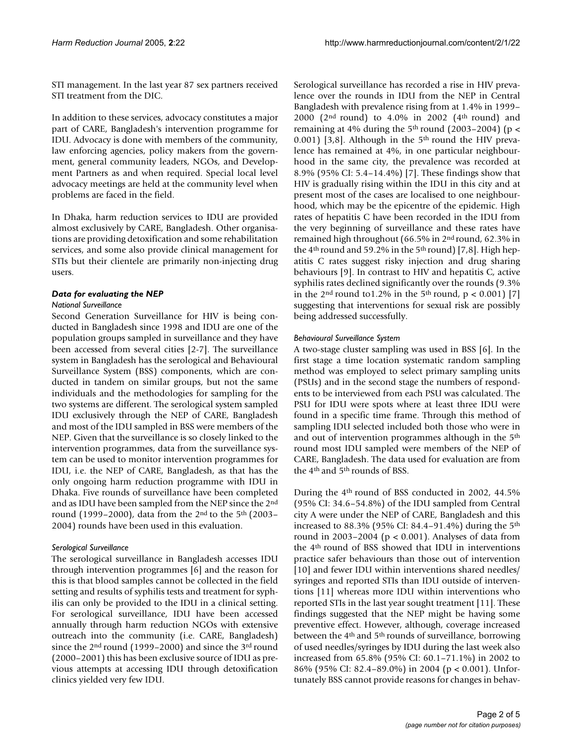STI management. In the last year 87 sex partners received STI treatment from the DIC.

In addition to these services, advocacy constitutes a major part of CARE, Bangladesh's intervention programme for IDU. Advocacy is done with members of the community, law enforcing agencies, policy makers from the government, general community leaders, NGOs, and Development Partners as and when required. Special local level advocacy meetings are held at the community level when problems are faced in the field.

In Dhaka, harm reduction services to IDU are provided almost exclusively by CARE, Bangladesh. Other organisations are providing detoxification and some rehabilitation services, and some also provide clinical management for STIs but their clientele are primarily non-injecting drug users.

## *Data for evaluating the NEP*

#### *National Surveillance*

Second Generation Surveillance for HIV is being conducted in Bangladesh since 1998 and IDU are one of the population groups sampled in surveillance and they have been accessed from several cities [2-7]. The surveillance system in Bangladesh has the serological and Behavioural Surveillance System (BSS) components, which are conducted in tandem on similar groups, but not the same individuals and the methodologies for sampling for the two systems are different. The serological system sampled IDU exclusively through the NEP of CARE, Bangladesh and most of the IDU sampled in BSS were members of the NEP. Given that the surveillance is so closely linked to the intervention programmes, data from the surveillance system can be used to monitor intervention programmes for IDU, i.e. the NEP of CARE, Bangladesh, as that has the only ongoing harm reduction programme with IDU in Dhaka. Five rounds of surveillance have been completed and as IDU have been sampled from the NEP since the 2nd round (1999–2000), data from the 2<sup>nd</sup> to the 5<sup>th</sup> (2003– 2004) rounds have been used in this evaluation.

## *Serological Surveillance*

The serological surveillance in Bangladesh accesses IDU through intervention programmes [6] and the reason for this is that blood samples cannot be collected in the field setting and results of syphilis tests and treatment for syphilis can only be provided to the IDU in a clinical setting. For serological surveillance, IDU have been accessed annually through harm reduction NGOs with extensive outreach into the community (i.e. CARE, Bangladesh) since the 2<sup>nd</sup> round (1999–2000) and since the 3<sup>rd</sup> round (2000–2001) this has been exclusive source of IDU as previous attempts at accessing IDU through detoxification clinics yielded very few IDU.

Serological surveillance has recorded a rise in HIV prevalence over the rounds in IDU from the NEP in Central Bangladesh with prevalence rising from at 1.4% in 1999– 2000 (2nd round) to 4.0% in 2002 (4th round) and remaining at 4% during the 5<sup>th</sup> round (2003–2004) ( $p <$ 0.001) [3,8]. Although in the  $5<sup>th</sup>$  round the HIV prevalence has remained at 4%, in one particular neighbourhood in the same city, the prevalence was recorded at 8.9% (95% CI: 5.4–14.4%) [7]. These findings show that HIV is gradually rising within the IDU in this city and at present most of the cases are localised to one neighbourhood, which may be the epicentre of the epidemic. High rates of hepatitis C have been recorded in the IDU from the very beginning of surveillance and these rates have remained high throughout (66.5% in 2nd round, 62.3% in the 4<sup>th</sup> round and 59.2% in the 5<sup>th</sup> round) [7,8]. High hepatitis C rates suggest risky injection and drug sharing behaviours [9]. In contrast to HIV and hepatitis C, active syphilis rates declined significantly over the rounds (9.3% in the 2<sup>nd</sup> round to 1.2% in the 5<sup>th</sup> round,  $p < 0.001$  [7] suggesting that interventions for sexual risk are possibly being addressed successfully.

## *Behavioural Surveillance System*

A two-stage cluster sampling was used in BSS [6]. In the first stage a time location systematic random sampling method was employed to select primary sampling units (PSUs) and in the second stage the numbers of respondents to be interviewed from each PSU was calculated. The PSU for IDU were spots where at least three IDU were found in a specific time frame. Through this method of sampling IDU selected included both those who were in and out of intervention programmes although in the 5th round most IDU sampled were members of the NEP of CARE, Bangladesh. The data used for evaluation are from the 4th and 5th rounds of BSS.

During the 4th round of BSS conducted in 2002, 44.5% (95% CI: 34.6–54.8%) of the IDU sampled from Central city A were under the NEP of CARE, Bangladesh and this increased to 88.3% (95% CI: 84.4–91.4%) during the 5th round in 2003–2004 ( $p < 0.001$ ). Analyses of data from the 4th round of BSS showed that IDU in interventions practice safer behaviours than those out of intervention [10] and fewer IDU within interventions shared needles/ syringes and reported STIs than IDU outside of interventions [11] whereas more IDU within interventions who reported STIs in the last year sought treatment [11]. These findings suggested that the NEP might be having some preventive effect. However, although, coverage increased between the 4th and 5th rounds of surveillance, borrowing of used needles/syringes by IDU during the last week also increased from 65.8% (95% CI: 60.1–71.1%) in 2002 to 86% (95% CI: 82.4–89.0%) in 2004 (p < 0.001). Unfortunately BSS cannot provide reasons for changes in behav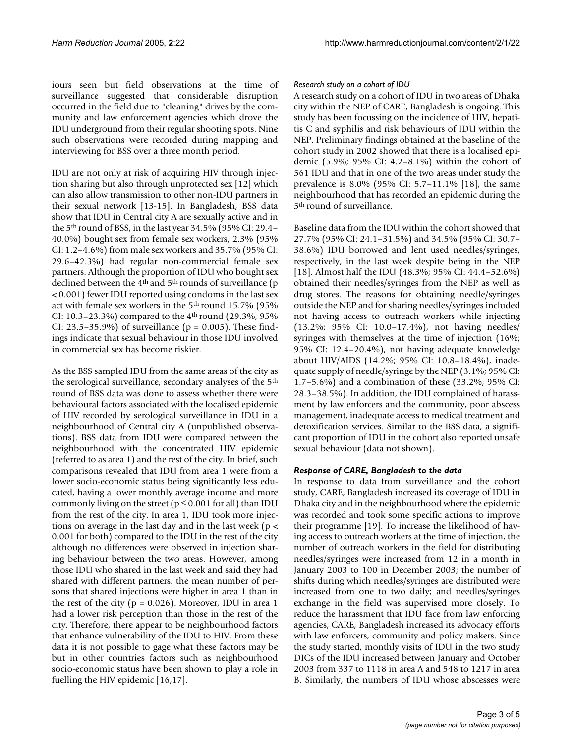iours seen but field observations at the time of surveillance suggested that considerable disruption occurred in the field due to "cleaning" drives by the community and law enforcement agencies which drove the IDU underground from their regular shooting spots. Nine such observations were recorded during mapping and interviewing for BSS over a three month period.

IDU are not only at risk of acquiring HIV through injection sharing but also through unprotected sex [12] which can also allow transmission to other non-IDU partners in their sexual network [13-15]. In Bangladesh, BSS data show that IDU in Central city A are sexually active and in the 5th round of BSS, in the last year 34.5% (95% CI: 29.4– 40.0%) bought sex from female sex workers, 2.3% (95% CI: 1.2–4.6%) from male sex workers and 35.7% (95% CI: 29.6–42.3%) had regular non-commercial female sex partners. Although the proportion of IDU who bought sex declined between the 4<sup>th</sup> and 5<sup>th</sup> rounds of surveillance (p < 0.001) fewer IDU reported using condoms in the last sex act with female sex workers in the 5th round 15.7% (95% CI: 10.3–23.3%) compared to the 4th round (29.3%, 95% CI: 23.5–35.9%) of surveillance ( $p = 0.005$ ). These findings indicate that sexual behaviour in those IDU involved in commercial sex has become riskier.

As the BSS sampled IDU from the same areas of the city as the serological surveillance, secondary analyses of the 5th round of BSS data was done to assess whether there were behavioural factors associated with the localised epidemic of HIV recorded by serological surveillance in IDU in a neighbourhood of Central city A (unpublished observations). BSS data from IDU were compared between the neighbourhood with the concentrated HIV epidemic (referred to as area 1) and the rest of the city. In brief, such comparisons revealed that IDU from area 1 were from a lower socio-economic status being significantly less educated, having a lower monthly average income and more commonly living on the street ( $p \le 0.001$  for all) than IDU from the rest of the city. In area 1, IDU took more injections on average in the last day and in the last week (p < 0.001 for both) compared to the IDU in the rest of the city although no differences were observed in injection sharing behaviour between the two areas. However, among those IDU who shared in the last week and said they had shared with different partners, the mean number of persons that shared injections were higher in area 1 than in the rest of the city ( $p = 0.026$ ). Moreover, IDU in area 1 had a lower risk perception than those in the rest of the city. Therefore, there appear to be neighbourhood factors that enhance vulnerability of the IDU to HIV. From these data it is not possible to gage what these factors may be but in other countries factors such as neighbourhood socio-economic status have been shown to play a role in fuelling the HIV epidemic [16,17].

## *Research study on a cohort of IDU*

A research study on a cohort of IDU in two areas of Dhaka city within the NEP of CARE, Bangladesh is ongoing. This study has been focussing on the incidence of HIV, hepatitis C and syphilis and risk behaviours of IDU within the NEP. Preliminary findings obtained at the baseline of the cohort study in 2002 showed that there is a localised epidemic (5.9%; 95% CI: 4.2–8.1%) within the cohort of 561 IDU and that in one of the two areas under study the prevalence is 8.0% (95% CI: 5.7–11.1% [18], the same neighbourhood that has recorded an epidemic during the 5th round of surveillance.

Baseline data from the IDU within the cohort showed that 27.7% (95% CI: 24.1–31.5%) and 34.5% (95% CI: 30.7– 38.6%) IDU borrowed and lent used needles/syringes, respectively, in the last week despite being in the NEP [18]. Almost half the IDU (48.3%; 95% CI: 44.4–52.6%) obtained their needles/syringes from the NEP as well as drug stores. The reasons for obtaining needle/syringes outside the NEP and for sharing needles/syringes included not having access to outreach workers while injecting (13.2%; 95% CI: 10.0–17.4%), not having needles/ syringes with themselves at the time of injection (16%; 95% CI: 12.4–20.4%), not having adequate knowledge about HIV/AIDS (14.2%; 95% CI: 10.8–18.4%), inadequate supply of needle/syringe by the NEP (3.1%; 95% CI: 1.7–5.6%) and a combination of these (33.2%; 95% CI: 28.3–38.5%). In addition, the IDU complained of harassment by law enforcers and the community, poor abscess management, inadequate access to medical treatment and detoxification services. Similar to the BSS data, a significant proportion of IDU in the cohort also reported unsafe sexual behaviour (data not shown).

## *Response of CARE, Bangladesh to the data*

In response to data from surveillance and the cohort study, CARE, Bangladesh increased its coverage of IDU in Dhaka city and in the neighbourhood where the epidemic was recorded and took some specific actions to improve their programme [19]. To increase the likelihood of having access to outreach workers at the time of injection, the number of outreach workers in the field for distributing needles/syringes were increased from 12 in a month in January 2003 to 100 in December 2003; the number of shifts during which needles/syringes are distributed were increased from one to two daily; and needles/syringes exchange in the field was supervised more closely. To reduce the harassment that IDU face from law enforcing agencies, CARE, Bangladesh increased its advocacy efforts with law enforcers, community and policy makers. Since the study started, monthly visits of IDU in the two study DICs of the IDU increased between January and October 2003 from 337 to 1118 in area A and 548 to 1217 in area B. Similarly, the numbers of IDU whose abscesses were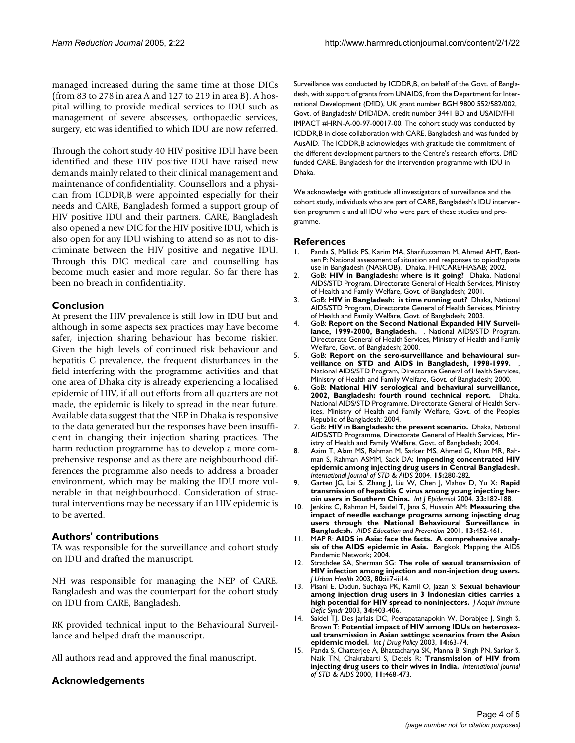managed increased during the same time at those DICs (from 83 to 278 in area A and 127 to 219 in area B). A hospital willing to provide medical services to IDU such as management of severe abscesses, orthopaedic services, surgery, etc was identified to which IDU are now referred.

Through the cohort study 40 HIV positive IDU have been identified and these HIV positive IDU have raised new demands mainly related to their clinical management and maintenance of confidentiality. Counsellors and a physician from ICDDR,B were appointed especially for their needs and CARE, Bangladesh formed a support group of HIV positive IDU and their partners. CARE, Bangladesh also opened a new DIC for the HIV positive IDU, which is also open for any IDU wishing to attend so as not to discriminate between the HIV positive and negative IDU. Through this DIC medical care and counselling has become much easier and more regular. So far there has been no breach in confidentiality.

## **Conclusion**

At present the HIV prevalence is still low in IDU but and although in some aspects sex practices may have become safer, injection sharing behaviour has become riskier. Given the high levels of continued risk behaviour and hepatitis C prevalence, the frequent disturbances in the field interfering with the programme activities and that one area of Dhaka city is already experiencing a localised epidemic of HIV, if all out efforts from all quarters are not made, the epidemic is likely to spread in the near future. Available data suggest that the NEP in Dhaka is responsive to the data generated but the responses have been insufficient in changing their injection sharing practices. The harm reduction programme has to develop a more comprehensive response and as there are neighbourhood differences the programme also needs to address a broader environment, which may be making the IDU more vulnerable in that neighbourhood. Consideration of structural interventions may be necessary if an HIV epidemic is to be averted.

## **Authors' contributions**

TA was responsible for the surveillance and cohort study on IDU and drafted the manuscript.

NH was responsible for managing the NEP of CARE, Bangladesh and was the counterpart for the cohort study on IDU from CARE, Bangladesh.

RK provided technical input to the Behavioural Surveillance and helped draft the manuscript.

All authors read and approved the final manuscript.

## **Acknowledgements**

Surveillance was conducted by ICDDR,B, on behalf of the Govt. of Bangladesh, with support of grants from UNAIDS, from the Department for International Development (DfID), UK grant number BGH 9800 552/582/002, Govt. of Bangladesh/ DfID/IDA, credit number 3441 BD and USAID/FHI IMPACT #HRN-A-00-97-00017-00. The cohort study was conducted by ICDDR,B in close collaboration with CARE, Bangladesh and was funded by AusAID. The ICDDR,B acknowledges with gratitude the commitment of the different development partners to the Centre's research efforts. DfID funded CARE, Bangladesh for the intervention programme with IDU in Dhaka.

We acknowledge with gratitude all investigators of surveillance and the cohort study, individuals who are part of CARE, Bangladesh's IDU intervention programm e and all IDU who were part of these studies and programme.

#### **References**

- 1. Panda S, Mallick PS, Karim MA, Sharifuzzaman M, Ahmed AHT, Baatsen P: National assessment of situation and responses to opiod/opiate use in Bangladesh (NASROB). Dhaka, FHI/CARE/HASAB; 2002.
- 2. GoB: **HIV in Bangladesh: where is it going?** Dhaka, National AIDS/STD Program, Directorate General of Health Services, Ministry of Health and Family Welfare, Govt. of Bangladesh; 2001.
- 3. GoB: **HIV in Bangladesh: is time running out?** Dhaka, National AIDS/STD Program, Directorate General of Health Services, Ministry of Health and Family Welfare, Govt. of Bangladesh; 2003.
- 4. GoB: **Report on the Second National Expanded HIV Surveillance, 1999-2000, Bangladesh.** , National AIDS/STD Program, Directorate General of Health Services, Ministry of Health and Family Welfare, Govt. of Bangladesh; 2000.
- 5. GoB: **Report on the sero-surveillance and behavioural sur**veillance on STD and AIDS in Bangladesh, 1998-1999. National AIDS/STD Program, Directorate General of Health Services, Ministry of Health and Family Welfare, Govt. of Bangladesh; 2000.
- 6. GoB: **[National HIV serological and behaviural surveillance,](http://www.ncbi.nlm.nih.gov/entrez/query.fcgi?cmd=Retrieve&db=PubMed&dopt=Abstract&list_uids=15504471) [2002, Bangladesh: fourth round technical report.](http://www.ncbi.nlm.nih.gov/entrez/query.fcgi?cmd=Retrieve&db=PubMed&dopt=Abstract&list_uids=15504471)** Dhaka, National AIDS/STD Programme, Directorate General of Health Services, Ministry of Health and Family Welfare, Govt. of the Peoples Republic of Bangladesh; 2004.
- 7. GoB: **[HIV in Bangladesh: the present scenario.](http://www.ncbi.nlm.nih.gov/entrez/query.fcgi?cmd=Retrieve&db=PubMed&dopt=Abstract&list_uids=15504471)** Dhaka, National AIDS/STD Programme, Directorate General of Health Services, Ministry of Health and Family Welfare, Govt. of Bangladesh; 2004.
- 8. Azim T, Alam MS, Rahman M, Sarker MS, Ahmed G, Khan MR, Rahman S, Rahman ASMM, Sack DA: **[Impending concentrated HIV](http://www.ncbi.nlm.nih.gov/entrez/query.fcgi?cmd=Retrieve&db=PubMed&dopt=Abstract&list_uids=15075028) [epidemic among injecting drug users in Central Bangladesh.](http://www.ncbi.nlm.nih.gov/entrez/query.fcgi?cmd=Retrieve&db=PubMed&dopt=Abstract&list_uids=15075028)** *International Journal of STD & AIDS* 2004, **15:**280-282.
- 9. Garten JG, Lai S, Zhang J, Liu W, Chen J, Vlahov D, Yu X: **[Rapid](http://www.ncbi.nlm.nih.gov/entrez/query.fcgi?cmd=Retrieve&db=PubMed&dopt=Abstract&list_uids=15075167) [transmission of hepatitis C virus among young injecting her](http://www.ncbi.nlm.nih.gov/entrez/query.fcgi?cmd=Retrieve&db=PubMed&dopt=Abstract&list_uids=15075167)[oin users in Southern China.](http://www.ncbi.nlm.nih.gov/entrez/query.fcgi?cmd=Retrieve&db=PubMed&dopt=Abstract&list_uids=15075167)** *Int J Epidemiol* 2004, **33:**182-188.
- 10. Jenkins C, Rahman H, Saidel T, Jana S, Hussain AM: **Measuring the impact of needle exchange programs among injecting drug users through the National Behavioural Surveillance in Bangladesh.** *AIDS Education and Prevention* 2001, **13:**452-461.
- 11. MAP R: **AIDS in Asia: face the facts. A comprehensive analysis of the AIDS epidemic in Asia.** Bangkok, Mapping the AIDS Pandemic Network; 2004.
- 12. Strathdee SA, Sherman SG: **[The role of sexual transmission of](http://www.ncbi.nlm.nih.gov/entrez/query.fcgi?cmd=Retrieve&db=PubMed&dopt=Abstract&list_uids=14713667) [HIV infection among injection and non-injection drug users.](http://www.ncbi.nlm.nih.gov/entrez/query.fcgi?cmd=Retrieve&db=PubMed&dopt=Abstract&list_uids=14713667)** *J Urban Health* 2003, **80:**iii7-iii14.
- 13. Pisani E, Dadun, Suchaya PK, Kamil O, Jazan S: **[Sexual behaviour](http://www.ncbi.nlm.nih.gov/entrez/query.fcgi?cmd=Retrieve&db=PubMed&dopt=Abstract&list_uids=14615658) [among injection drug users in 3 Indonesian cities carries a](http://www.ncbi.nlm.nih.gov/entrez/query.fcgi?cmd=Retrieve&db=PubMed&dopt=Abstract&list_uids=14615658) [high potential for HIV spread to noninjectors.](http://www.ncbi.nlm.nih.gov/entrez/query.fcgi?cmd=Retrieve&db=PubMed&dopt=Abstract&list_uids=14615658)** *J Acquir Immune Defic Syndr* 2003, **34:**403-406.
- Saidel TJ, Des Jarlais DC, Peerapatanapokin W, Dorabjee J, Singh S, Brown T: **Potential impact of HIV among IDUs on heterosexual transmission in Asian settings: scenarios from the Asian epidemic model.** *Int J Drug Policy* 2003, **14:**63-74.
- 15. Panda S, Chatterjee A, Bhattacharya SK, Manna B, Singh PN, Sarkar S, Naik TN, Chakrabarti S, Detels R: **[Transmission of HIV from](http://www.ncbi.nlm.nih.gov/entrez/query.fcgi?cmd=Retrieve&db=PubMed&dopt=Abstract&list_uids=10919490) [injecting drug users to their wives in India.](http://www.ncbi.nlm.nih.gov/entrez/query.fcgi?cmd=Retrieve&db=PubMed&dopt=Abstract&list_uids=10919490)** *International Journal of STD & AIDS* 2000, **11:**468-473.